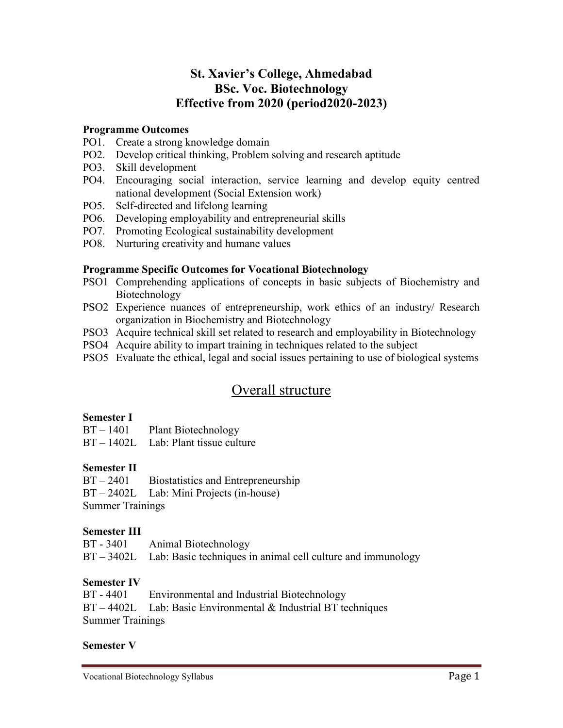# **St. Xavier's College, Ahmedabad BSc. Voc. Biotechnology Effective from 2020 (period2020-2023)**

#### **Programme Outcomes**

- PO1. Create a strong knowledge domain
- PO2. Develop critical thinking, Problem solving and research aptitude
- PO3. Skill development
- PO4. Encouraging social interaction, service learning and develop equity centred national development (Social Extension work)
- PO5. Self-directed and lifelong learning
- PO6. Developing employability and entrepreneurial skills
- PO7. Promoting Ecological sustainability development
- PO8. Nurturing creativity and humane values

#### **Programme Specific Outcomes for Vocational Biotechnology**

- PSO1 Comprehending applications of concepts in basic subjects of Biochemistry and Biotechnology
- PSO2 Experience nuances of entrepreneurship, work ethics of an industry/ Research organization in Biochemistry and Biotechnology
- PSO3 Acquire technical skill set related to research and employability in Biotechnology
- PSO4 Acquire ability to impart training in techniques related to the subject
- PSO5 Evaluate the ethical, legal and social issues pertaining to use of biological systems

# Overall structure

#### **Semester I**

| $BT - 1401$ | <b>Plant Biotechnology</b>             |
|-------------|----------------------------------------|
|             | $BT - 1402L$ Lab: Plant tissue culture |

# **Semester II**

BT – 2401 Biostatistics and Entrepreneurship BT – 2402L Lab: Mini Projects (in-house) Summer Trainings

# **Semester III**

| $BT - 3401$ | Animal Biotechnology                                                     |
|-------------|--------------------------------------------------------------------------|
|             | $BT - 3402L$ Lab: Basic techniques in animal cell culture and immunology |

# **Semester IV**

| BT - 4401               | Environmental and Industrial Biotechnology                       |  |
|-------------------------|------------------------------------------------------------------|--|
|                         | $BT - 4402L$ Lab: Basic Environmental & Industrial BT techniques |  |
| <b>Summer Trainings</b> |                                                                  |  |

#### **Semester V**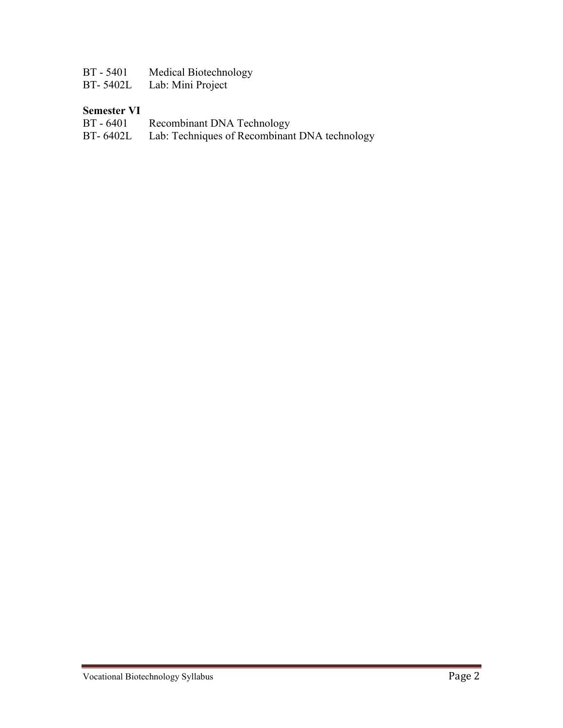| BT - 5401 | Medical Biotechnology |
|-----------|-----------------------|
|-----------|-----------------------|

BT- 5402L Lab: Mini Project

# **Semester VI**<br>**BT** - 6401

- BT 6401 Recombinant DNA Technology
- BT- 6402L Lab: Techniques of Recombinant DNA technology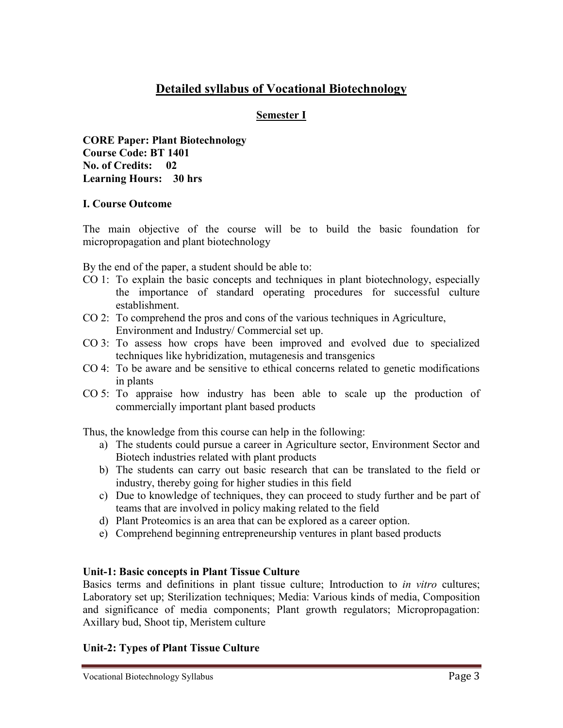# **Detailed syllabus of Vocational Biotechnology**

## **Semester I**

**CORE Paper: Plant Biotechnology Course Code: BT 1401 No. of Credits: 02 Learning Hours: 30 hrs**

#### **I. Course Outcome**

The main objective of the course will be to build the basic foundation for micropropagation and plant biotechnology

By the end of the paper, a student should be able to:

- CO 1: To explain the basic concepts and techniques in plant biotechnology, especially the importance of standard operating procedures for successful culture establishment.
- CO 2: To comprehend the pros and cons of the various techniques in Agriculture, Environment and Industry/ Commercial set up.
- CO 3: To assess how crops have been improved and evolved due to specialized techniques like hybridization, mutagenesis and transgenics
- CO 4: To be aware and be sensitive to ethical concerns related to genetic modifications in plants
- CO 5: To appraise how industry has been able to scale up the production of commercially important plant based products

Thus, the knowledge from this course can help in the following:

- a) The students could pursue a career in Agriculture sector, Environment Sector and Biotech industries related with plant products
- b) The students can carry out basic research that can be translated to the field or industry, thereby going for higher studies in this field
- c) Due to knowledge of techniques, they can proceed to study further and be part of teams that are involved in policy making related to the field
- d) Plant Proteomics is an area that can be explored as a career option.
- e) Comprehend beginning entrepreneurship ventures in plant based products

# **Unit-1: Basic concepts in Plant Tissue Culture**

Basics terms and definitions in plant tissue culture; Introduction to *in vitro* cultures; Laboratory set up; Sterilization techniques; Media: Various kinds of media, Composition and significance of media components; Plant growth regulators; Micropropagation: Axillary bud, Shoot tip, Meristem culture

# **Unit-2: Types of Plant Tissue Culture**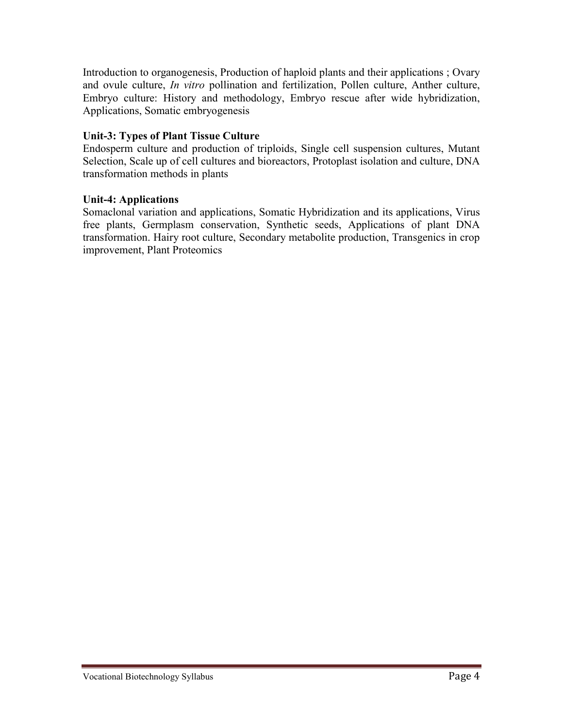Introduction to organogenesis, Production of haploid plants and their applications ; Ovary and ovule culture, *In vitro* pollination and fertilization, Pollen culture, Anther culture, Embryo culture: History and methodology, Embryo rescue after wide hybridization, Applications, Somatic embryogenesis

# **Unit-3: Types of Plant Tissue Culture**

Endosperm culture and production of triploids, Single cell suspension cultures, Mutant Selection, Scale up of cell cultures and bioreactors, Protoplast isolation and culture, DNA transformation methods in plants

# **Unit-4: Applications**

Somaclonal variation and applications, Somatic Hybridization and its applications, Virus free plants, Germplasm conservation, Synthetic seeds, Applications of plant DNA transformation. Hairy root culture, Secondary metabolite production, Transgenics in crop improvement, Plant Proteomics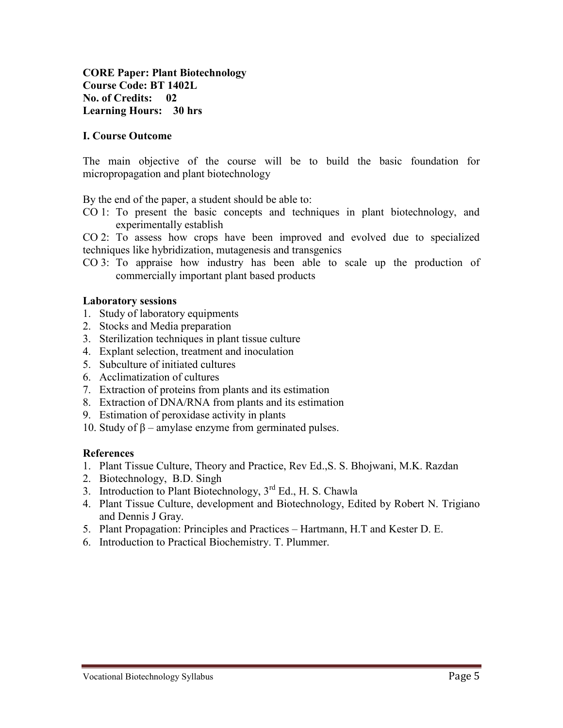**CORE Paper: Plant Biotechnology Course Code: BT 1402L No. of Credits: 02 Learning Hours: 30 hrs**

#### **I. Course Outcome**

The main objective of the course will be to build the basic foundation for micropropagation and plant biotechnology

By the end of the paper, a student should be able to:

CO 1: To present the basic concepts and techniques in plant biotechnology, and experimentally establish

CO 2: To assess how crops have been improved and evolved due to specialized techniques like hybridization, mutagenesis and transgenics

CO 3: To appraise how industry has been able to scale up the production of commercially important plant based products

#### **Laboratory sessions**

- 1. Study of laboratory equipments
- 2. Stocks and Media preparation
- 3. Sterilization techniques in plant tissue culture
- 4. Explant selection, treatment and inoculation
- 5. Subculture of initiated cultures
- 6. Acclimatization of cultures
- 7. Extraction of proteins from plants and its estimation
- 8. Extraction of DNA/RNA from plants and its estimation
- 9. Estimation of peroxidase activity in plants
- 10. Study of β amylase enzyme from germinated pulses.

- 1. Plant Tissue Culture, Theory and Practice, Rev Ed.,S. S. Bhojwani, M.K. Razdan
- 2. Biotechnology, B.D. Singh
- 3. Introduction to Plant Biotechnology,  $3^{rd}$  Ed., H. S. Chawla
- 4. Plant Tissue Culture, development and Biotechnology, Edited by Robert N. Trigiano and Dennis J Gray.
- 5. Plant Propagation: Principles and Practices Hartmann, H.T and Kester D. E.
- 6. Introduction to Practical Biochemistry. T. Plummer.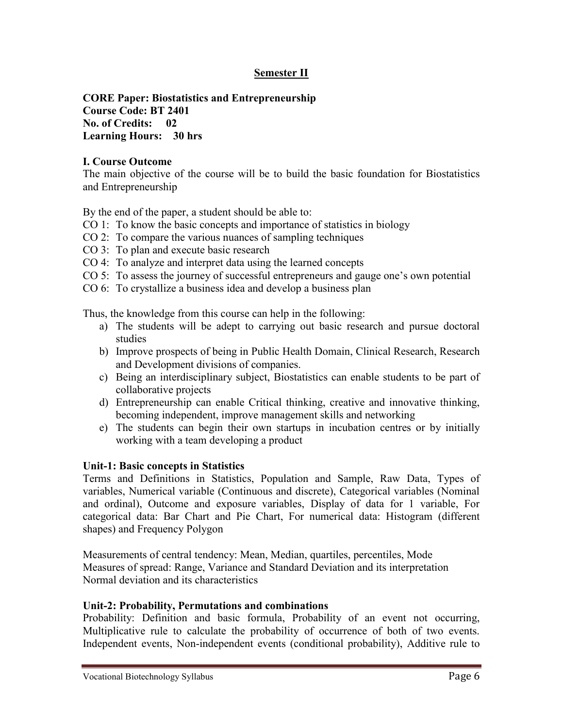# **Semester II**

**CORE Paper: Biostatistics and Entrepreneurship Course Code: BT 2401 No. of Credits: 02 Learning Hours: 30 hrs**

#### **I. Course Outcome**

The main objective of the course will be to build the basic foundation for Biostatistics and Entrepreneurship

By the end of the paper, a student should be able to:

- CO 1: To know the basic concepts and importance of statistics in biology
- CO 2: To compare the various nuances of sampling techniques
- CO 3: To plan and execute basic research
- CO 4: To analyze and interpret data using the learned concepts
- CO 5: To assess the journey of successful entrepreneurs and gauge one's own potential
- CO 6: To crystallize a business idea and develop a business plan

Thus, the knowledge from this course can help in the following:

- a) The students will be adept to carrying out basic research and pursue doctoral studies
- b) Improve prospects of being in Public Health Domain, Clinical Research, Research and Development divisions of companies.
- c) Being an interdisciplinary subject, Biostatistics can enable students to be part of collaborative projects
- d) Entrepreneurship can enable Critical thinking, creative and innovative thinking, becoming independent, improve management skills and networking
- e) The students can begin their own startups in incubation centres or by initially working with a team developing a product

#### **Unit-1: Basic concepts in Statistics**

Terms and Definitions in Statistics, Population and Sample, Raw Data, Types of variables, Numerical variable (Continuous and discrete), Categorical variables (Nominal and ordinal), Outcome and exposure variables, Display of data for 1 variable, For categorical data: Bar Chart and Pie Chart, For numerical data: Histogram (different shapes) and Frequency Polygon

Measurements of central tendency: Mean, Median, quartiles, percentiles, Mode Measures of spread: Range, Variance and Standard Deviation and its interpretation Normal deviation and its characteristics

#### **Unit-2: Probability, Permutations and combinations**

Probability: Definition and basic formula, Probability of an event not occurring, Multiplicative rule to calculate the probability of occurrence of both of two events. Independent events, Non-independent events (conditional probability), Additive rule to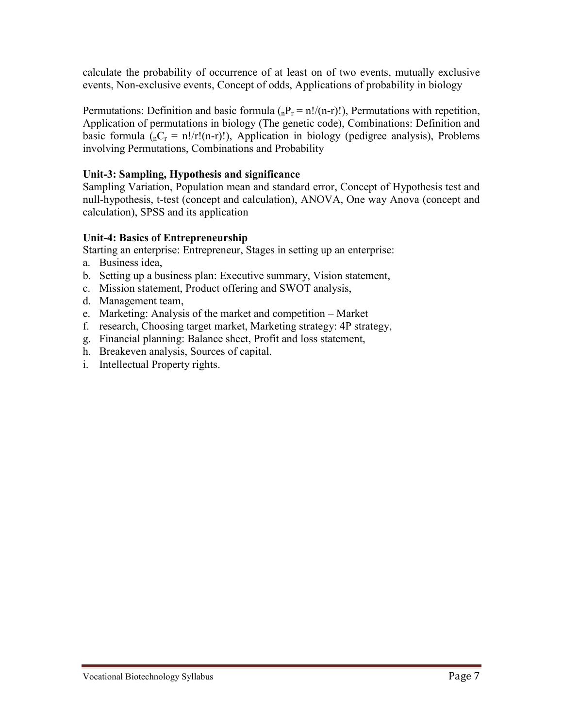calculate the probability of occurrence of at least on of two events, mutually exclusive events, Non-exclusive events, Concept of odds, Applications of probability in biology

Permutations: Definition and basic formula  $\binom{n}{n} = n!/(n-r)!$ , Permutations with repetition, Application of permutations in biology (The genetic code), Combinations: Definition and basic formula  $(nC_r = n!/r!(n-r)!)$ , Application in biology (pedigree analysis), Problems involving Permutations, Combinations and Probability

# **Unit-3: Sampling, Hypothesis and significance**

Sampling Variation, Population mean and standard error, Concept of Hypothesis test and null-hypothesis, t-test (concept and calculation), ANOVA, One way Anova (concept and calculation), SPSS and its application

# **Unit-4: Basics of Entrepreneurship**

Starting an enterprise: Entrepreneur, Stages in setting up an enterprise:

- a. Business idea,
- b. Setting up a business plan: Executive summary, Vision statement,
- c. Mission statement, Product offering and SWOT analysis,
- d. Management team,
- e. Marketing: Analysis of the market and competition Market
- f. research, Choosing target market, Marketing strategy: 4P strategy,
- g. Financial planning: Balance sheet, Profit and loss statement,
- h. Breakeven analysis, Sources of capital.
- i. Intellectual Property rights.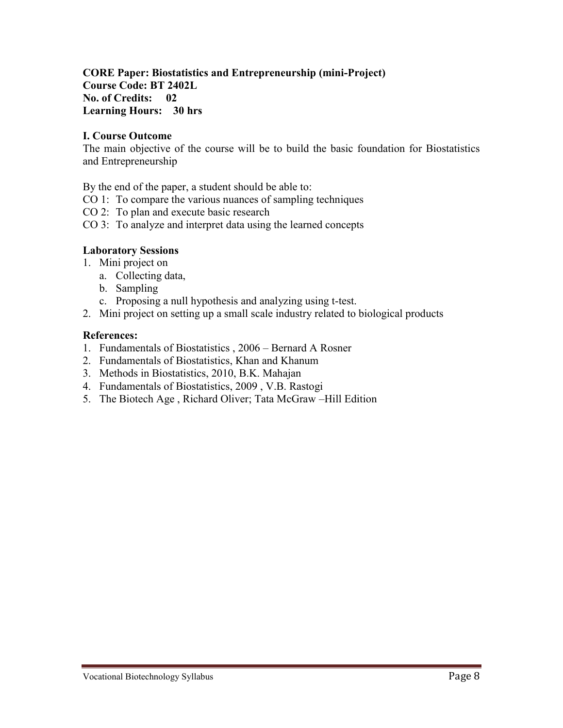# **CORE Paper: Biostatistics and Entrepreneurship (mini-Project) Course Code: BT 2402L No. of Credits: 02 Learning Hours: 30 hrs**

# **I. Course Outcome**

The main objective of the course will be to build the basic foundation for Biostatistics and Entrepreneurship

By the end of the paper, a student should be able to:

- CO 1: To compare the various nuances of sampling techniques
- CO 2: To plan and execute basic research
- CO 3: To analyze and interpret data using the learned concepts

#### **Laboratory Sessions**

- 1. Mini project on
	- a. Collecting data,
	- b. Sampling
	- c. Proposing a null hypothesis and analyzing using t-test.
- 2. Mini project on setting up a small scale industry related to biological products

- 1. Fundamentals of Biostatistics , 2006 Bernard A Rosner
- 2. Fundamentals of Biostatistics, Khan and Khanum
- 3. Methods in Biostatistics, 2010, B.K. Mahajan
- 4. Fundamentals of Biostatistics, 2009 , V.B. Rastogi
- 5. The Biotech Age , Richard Oliver; Tata McGraw –Hill Edition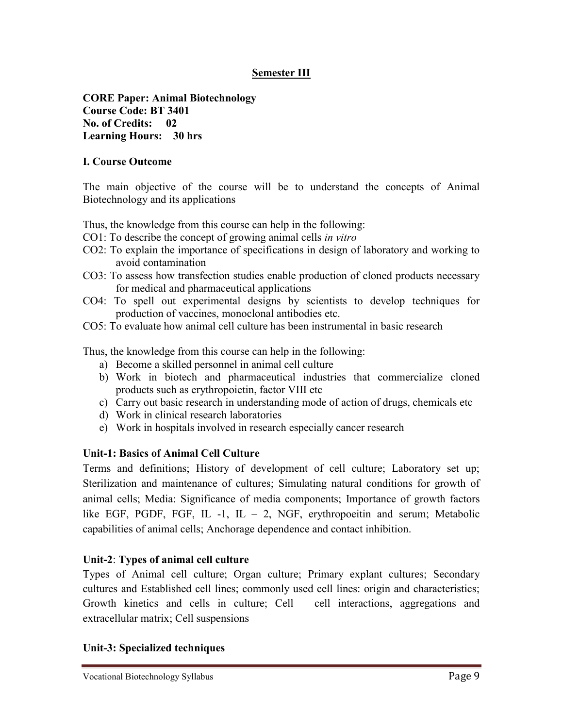# **Semester III**

**CORE Paper: Animal Biotechnology Course Code: BT 3401 No. of Credits: 02 Learning Hours: 30 hrs**

# **I. Course Outcome**

The main objective of the course will be to understand the concepts of Animal Biotechnology and its applications

Thus, the knowledge from this course can help in the following:

- CO1: To describe the concept of growing animal cells *in vitro*
- CO2: To explain the importance of specifications in design of laboratory and working to avoid contamination
- CO3: To assess how transfection studies enable production of cloned products necessary for medical and pharmaceutical applications
- CO4: To spell out experimental designs by scientists to develop techniques for production of vaccines, monoclonal antibodies etc.
- CO5: To evaluate how animal cell culture has been instrumental in basic research

Thus, the knowledge from this course can help in the following:

- a) Become a skilled personnel in animal cell culture
- b) Work in biotech and pharmaceutical industries that commercialize cloned products such as erythropoietin, factor VIII etc
- c) Carry out basic research in understanding mode of action of drugs, chemicals etc
- d) Work in clinical research laboratories
- e) Work in hospitals involved in research especially cancer research

# **Unit-1: Basics of Animal Cell Culture**

Terms and definitions; History of development of cell culture; Laboratory set up; Sterilization and maintenance of cultures; Simulating natural conditions for growth of animal cells; Media: Significance of media components; Importance of growth factors like EGF, PGDF, FGF, IL -1, IL  $-2$ , NGF, erythropoeitin and serum; Metabolic capabilities of animal cells; Anchorage dependence and contact inhibition.

# **Unit-2**: **Types of animal cell culture**

Types of Animal cell culture; Organ culture; Primary explant cultures; Secondary cultures and Established cell lines; commonly used cell lines: origin and characteristics; Growth kinetics and cells in culture; Cell – cell interactions, aggregations and extracellular matrix; Cell suspensions

# **Unit-3: Specialized techniques**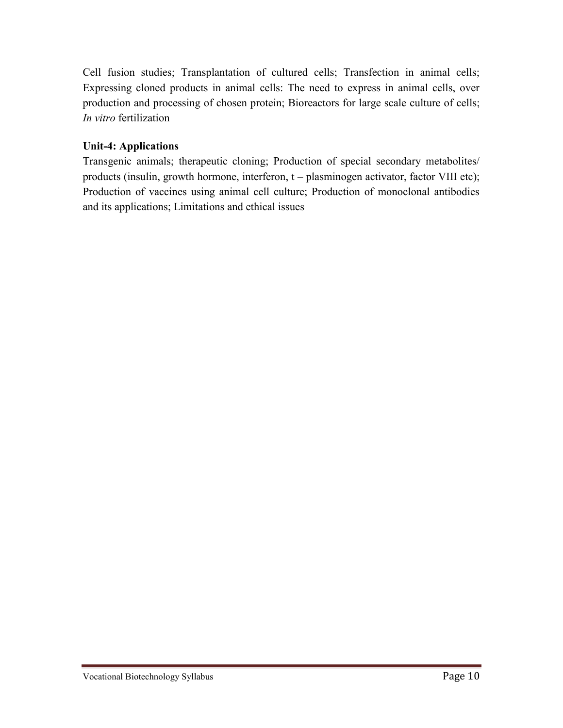Cell fusion studies; Transplantation of cultured cells; Transfection in animal cells; Expressing cloned products in animal cells: The need to express in animal cells, over production and processing of chosen protein; Bioreactors for large scale culture of cells; *In vitro* fertilization

# **Unit-4: Applications**

Transgenic animals; therapeutic cloning; Production of special secondary metabolites/ products (insulin, growth hormone, interferon, t – plasminogen activator, factor VIII etc); Production of vaccines using animal cell culture; Production of monoclonal antibodies and its applications; Limitations and ethical issues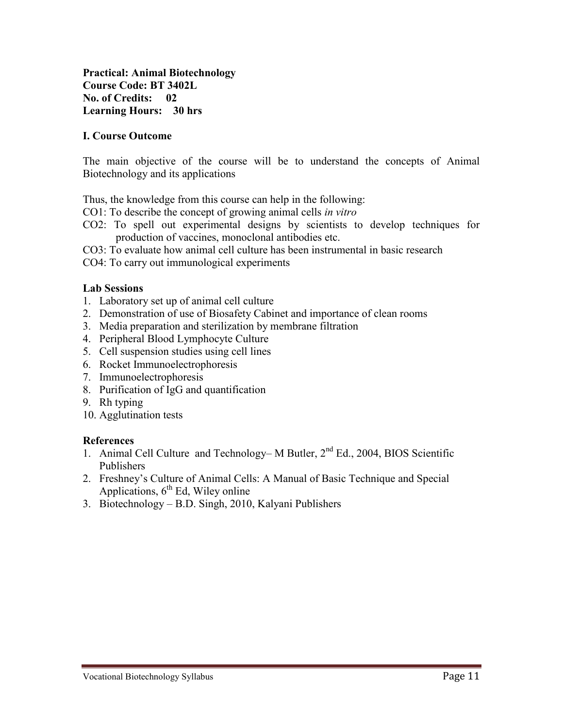**Practical: Animal Biotechnology Course Code: BT 3402L No. of Credits: 02 Learning Hours: 30 hrs**

## **I. Course Outcome**

The main objective of the course will be to understand the concepts of Animal Biotechnology and its applications

Thus, the knowledge from this course can help in the following:

- CO1: To describe the concept of growing animal cells *in vitro*
- CO2: To spell out experimental designs by scientists to develop techniques for production of vaccines, monoclonal antibodies etc.
- CO3: To evaluate how animal cell culture has been instrumental in basic research
- CO4: To carry out immunological experiments

#### **Lab Sessions**

- 1. Laboratory set up of animal cell culture
- 2. Demonstration of use of Biosafety Cabinet and importance of clean rooms
- 3. Media preparation and sterilization by membrane filtration
- 4. Peripheral Blood Lymphocyte Culture
- 5. Cell suspension studies using cell lines
- 6. Rocket Immunoelectrophoresis
- 7. Immunoelectrophoresis
- 8. Purification of IgG and quantification
- 9. Rh typing
- 10. Agglutination tests

- 1. Animal Cell Culture and Technology– M Butler,  $2<sup>nd</sup> Ed.$ , 2004, BIOS Scientific Publishers
- 2. Freshney's Culture of Animal Cells: A Manual of Basic Technique and Special Applications,  $6<sup>th</sup>$  Ed, Wiley online
- 3. Biotechnology B.D. Singh, 2010, Kalyani Publishers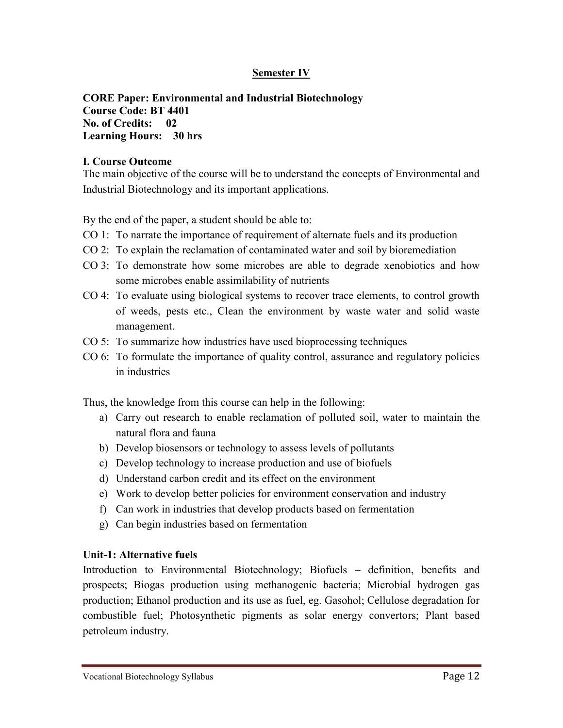# **Semester IV**

# **CORE Paper: Environmental and Industrial Biotechnology Course Code: BT 4401 No. of Credits: 02 Learning Hours: 30 hrs**

#### **I. Course Outcome**

The main objective of the course will be to understand the concepts of Environmental and Industrial Biotechnology and its important applications.

By the end of the paper, a student should be able to:

- CO 1: To narrate the importance of requirement of alternate fuels and its production
- CO 2: To explain the reclamation of contaminated water and soil by bioremediation
- CO 3: To demonstrate how some microbes are able to degrade xenobiotics and how some microbes enable assimilability of nutrients
- CO 4: To evaluate using biological systems to recover trace elements, to control growth of weeds, pests etc., Clean the environment by waste water and solid waste management.
- CO 5: To summarize how industries have used bioprocessing techniques
- CO 6: To formulate the importance of quality control, assurance and regulatory policies in industries

Thus, the knowledge from this course can help in the following:

- a) Carry out research to enable reclamation of polluted soil, water to maintain the natural flora and fauna
- b) Develop biosensors or technology to assess levels of pollutants
- c) Develop technology to increase production and use of biofuels
- d) Understand carbon credit and its effect on the environment
- e) Work to develop better policies for environment conservation and industry
- f) Can work in industries that develop products based on fermentation
- g) Can begin industries based on fermentation

#### **Unit-1: Alternative fuels**

Introduction to Environmental Biotechnology; Biofuels – definition, benefits and prospects; Biogas production using methanogenic bacteria; Microbial hydrogen gas production; Ethanol production and its use as fuel, eg. Gasohol; Cellulose degradation for combustible fuel; Photosynthetic pigments as solar energy convertors; Plant based petroleum industry.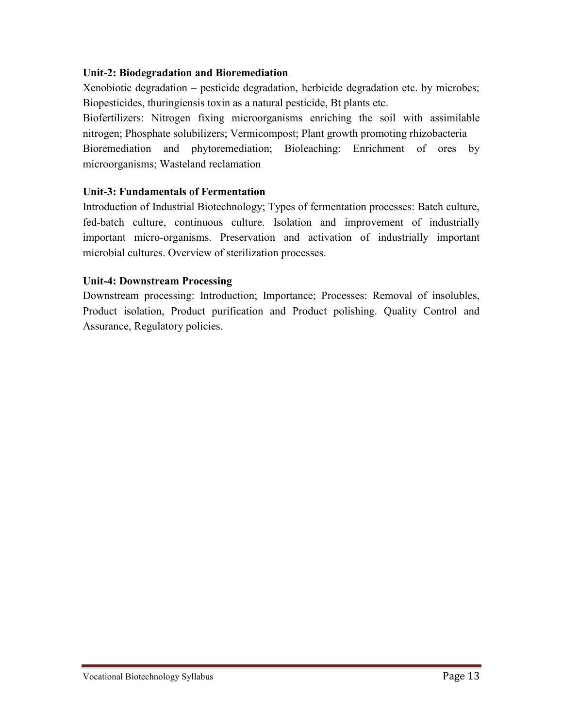# **Unit-2: Biodegradation and Bioremediation**

Xenobiotic degradation – pesticide degradation, herbicide degradation etc. by microbes; Biopesticides, thuringiensis toxin as a natural pesticide, Bt plants etc.

Biofertilizers: Nitrogen fixing microorganisms enriching the soil with assimilable nitrogen; Phosphate solubilizers; Vermicompost; Plant growth promoting rhizobacteria Bioremediation and phytoremediation; Bioleaching: Enrichment of ores by microorganisms; Wasteland reclamation

# **Unit-3: Fundamentals of Fermentation**

Introduction of Industrial Biotechnology; Types of fermentation processes: Batch culture, fed-batch culture, continuous culture. Isolation and improvement of industrially important micro-organisms. Preservation and activation of industrially important microbial cultures. Overview of sterilization processes.

# **Unit-4: Downstream Processing**

Downstream processing: Introduction; Importance; Processes: Removal of insolubles, Product isolation, Product purification and Product polishing. Quality Control and Assurance, Regulatory policies.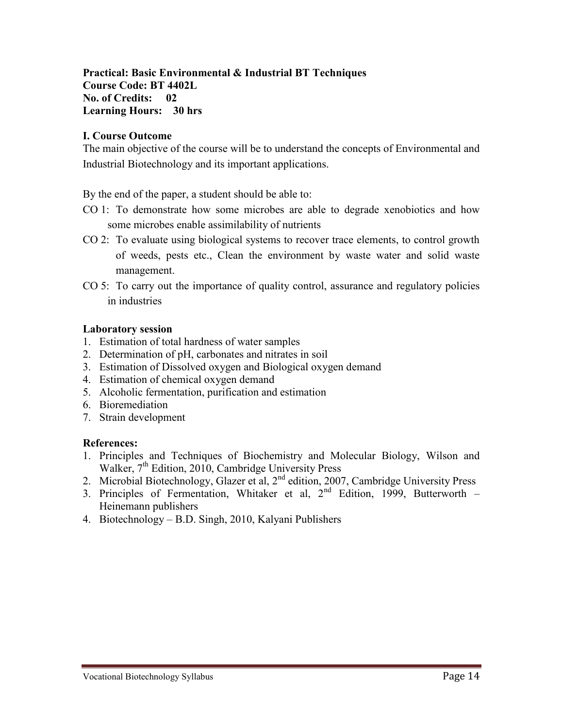**Practical: Basic Environmental & Industrial BT Techniques Course Code: BT 4402L No. of Credits: 02 Learning Hours: 30 hrs**

# **I. Course Outcome**

The main objective of the course will be to understand the concepts of Environmental and Industrial Biotechnology and its important applications.

By the end of the paper, a student should be able to:

- CO 1: To demonstrate how some microbes are able to degrade xenobiotics and how some microbes enable assimilability of nutrients
- CO 2: To evaluate using biological systems to recover trace elements, to control growth of weeds, pests etc., Clean the environment by waste water and solid waste management.
- CO 5: To carry out the importance of quality control, assurance and regulatory policies in industries

# **Laboratory session**

- 1. Estimation of total hardness of water samples
- 2. Determination of pH, carbonates and nitrates in soil
- 3. Estimation of Dissolved oxygen and Biological oxygen demand
- 4. Estimation of chemical oxygen demand
- 5. Alcoholic fermentation, purification and estimation
- 6. Bioremediation
- 7. Strain development

- 1. Principles and Techniques of Biochemistry and Molecular Biology, Wilson and Walker, 7<sup>th</sup> Edition, 2010, Cambridge University Press
- 2. Microbial Biotechnology, Glazer et al, 2<sup>nd</sup> edition, 2007, Cambridge University Press
- 3. Principles of Fermentation, Whitaker et al,  $2<sup>nd</sup>$  Edition, 1999, Butterworth Heinemann publishers
- 4. Biotechnology B.D. Singh, 2010, Kalyani Publishers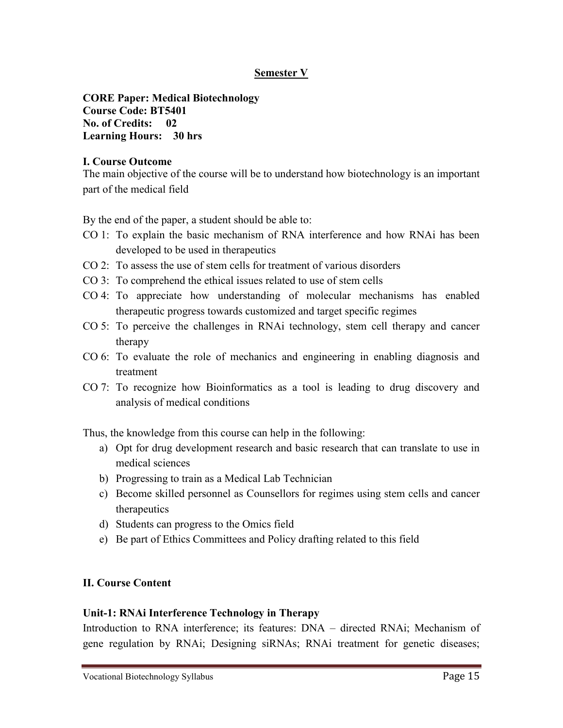# **Semester V**

**CORE Paper: Medical Biotechnology Course Code: BT5401 No. of Credits: 02 Learning Hours: 30 hrs**

## **I. Course Outcome**

The main objective of the course will be to understand how biotechnology is an important part of the medical field

By the end of the paper, a student should be able to:

- CO 1: To explain the basic mechanism of RNA interference and how RNAi has been developed to be used in therapeutics
- CO 2: To assess the use of stem cells for treatment of various disorders
- CO 3: To comprehend the ethical issues related to use of stem cells
- CO 4: To appreciate how understanding of molecular mechanisms has enabled therapeutic progress towards customized and target specific regimes
- CO 5: To perceive the challenges in RNAi technology, stem cell therapy and cancer therapy
- CO 6: To evaluate the role of mechanics and engineering in enabling diagnosis and treatment
- CO 7: To recognize how Bioinformatics as a tool is leading to drug discovery and analysis of medical conditions

Thus, the knowledge from this course can help in the following:

- a) Opt for drug development research and basic research that can translate to use in medical sciences
- b) Progressing to train as a Medical Lab Technician
- c) Become skilled personnel as Counsellors for regimes using stem cells and cancer therapeutics
- d) Students can progress to the Omics field
- e) Be part of Ethics Committees and Policy drafting related to this field

#### **II. Course Content**

#### **Unit-1: RNAi Interference Technology in Therapy**

Introduction to RNA interference; its features: DNA – directed RNAi; Mechanism of gene regulation by RNAi; Designing siRNAs; RNAi treatment for genetic diseases;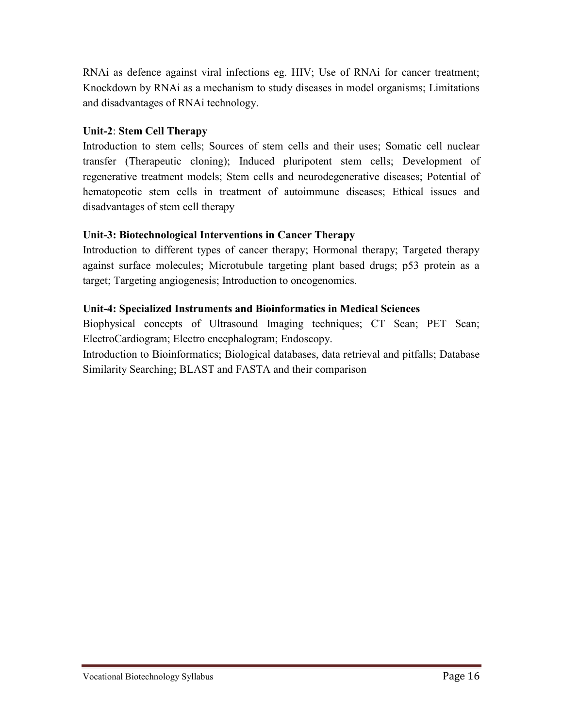RNAi as defence against viral infections eg. HIV; Use of RNAi for cancer treatment; Knockdown by RNAi as a mechanism to study diseases in model organisms; Limitations and disadvantages of RNAi technology.

# **Unit-2**: **Stem Cell Therapy**

Introduction to stem cells; Sources of stem cells and their uses; Somatic cell nuclear transfer (Therapeutic cloning); Induced pluripotent stem cells; Development of regenerative treatment models; Stem cells and neurodegenerative diseases; Potential of hematopeotic stem cells in treatment of autoimmune diseases; Ethical issues and disadvantages of stem cell therapy

# **Unit-3: Biotechnological Interventions in Cancer Therapy**

Introduction to different types of cancer therapy; Hormonal therapy; Targeted therapy against surface molecules; Microtubule targeting plant based drugs; p53 protein as a target; Targeting angiogenesis; Introduction to oncogenomics.

# **Unit-4: Specialized Instruments and Bioinformatics in Medical Sciences**

Biophysical concepts of Ultrasound Imaging techniques; CT Scan; PET Scan; ElectroCardiogram; Electro encephalogram; Endoscopy.

Introduction to Bioinformatics; Biological databases, data retrieval and pitfalls; Database Similarity Searching; BLAST and FASTA and their comparison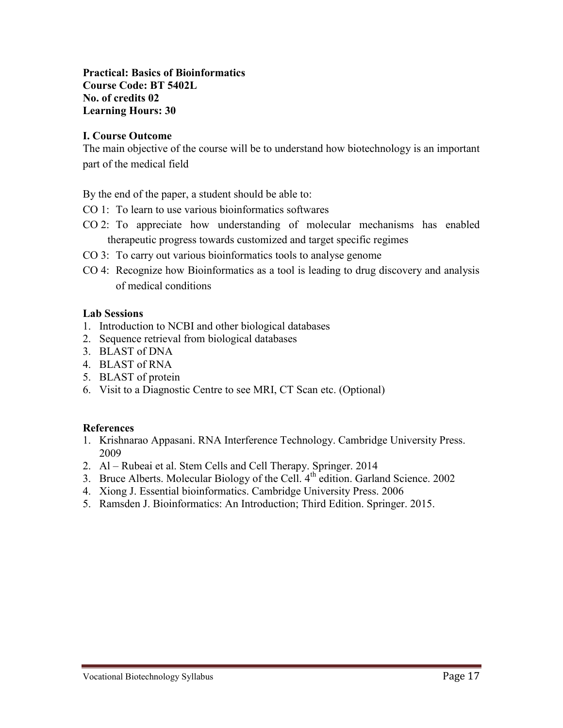**Practical: Basics of Bioinformatics Course Code: BT 5402L No. of credits 02 Learning Hours: 30**

## **I. Course Outcome**

The main objective of the course will be to understand how biotechnology is an important part of the medical field

By the end of the paper, a student should be able to:

- CO 1: To learn to use various bioinformatics softwares
- CO 2: To appreciate how understanding of molecular mechanisms has enabled therapeutic progress towards customized and target specific regimes
- CO 3: To carry out various bioinformatics tools to analyse genome
- CO 4: Recognize how Bioinformatics as a tool is leading to drug discovery and analysis of medical conditions

#### **Lab Sessions**

- 1. Introduction to NCBI and other biological databases
- 2. Sequence retrieval from biological databases
- 3. BLAST of DNA
- 4. BLAST of RNA
- 5. BLAST of protein
- 6. Visit to a Diagnostic Centre to see MRI, CT Scan etc. (Optional)

- 1. Krishnarao Appasani. RNA Interference Technology. Cambridge University Press. 2009
- 2. Al Rubeai et al. Stem Cells and Cell Therapy. Springer. 2014
- 3. Bruce Alberts. Molecular Biology of the Cell.  $4<sup>th</sup>$  edition. Garland Science. 2002
- 4. Xiong J. Essential bioinformatics. Cambridge University Press. 2006
- 5. Ramsden J. Bioinformatics: An Introduction; Third Edition. Springer. 2015.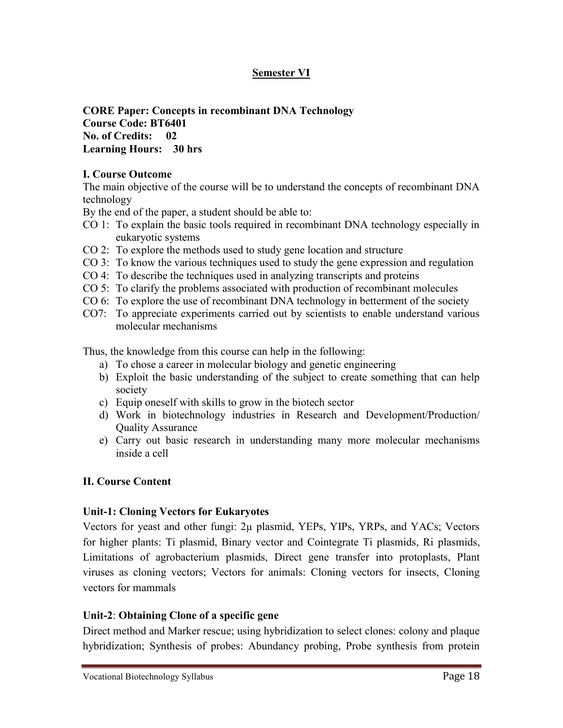# **Semester VI**

**CORE Paper: Concepts in recombinant DNA Technology Course Code: BT6401 No. of Credits: 02 Learning Hours: 30 hrs**

#### **I. Course Outcome**

The main objective of the course will be to understand the concepts of recombinant DNA technology

By the end of the paper, a student should be able to:

- CO 1: To explain the basic tools required in recombinant DNA technology especially in eukaryotic systems
- CO 2: To explore the methods used to study gene location and structure
- CO 3: To know the various techniques used to study the gene expression and regulation
- CO 4: To describe the techniques used in analyzing transcripts and proteins
- CO 5: To clarify the problems associated with production of recombinant molecules
- CO 6: To explore the use of recombinant DNA technology in betterment of the society
- CO7: To appreciate experiments carried out by scientists to enable understand various molecular mechanisms

Thus, the knowledge from this course can help in the following:

- a) To chose a career in molecular biology and genetic engineering
- b) Exploit the basic understanding of the subject to create something that can help society
- c) Equip oneself with skills to grow in the biotech sector
- d) Work in biotechnology industries in Research and Development/Production/ Quality Assurance
- e) Carry out basic research in understanding many more molecular mechanisms inside a cell

# **II. Course Content**

# **Unit-1: Cloning Vectors for Eukaryotes**

Vectors for yeast and other fungi: 2µ plasmid, YEPs, YIPs, YRPs, and YACs; Vectors for higher plants: Ti plasmid, Binary vector and Cointegrate Ti plasmids, Ri plasmids, Limitations of agrobacterium plasmids, Direct gene transfer into protoplasts, Plant viruses as cloning vectors; Vectors for animals: Cloning vectors for insects, Cloning vectors for mammals

# **Unit-2**: **Obtaining Clone of a specific gene**

Direct method and Marker rescue; using hybridization to select clones: colony and plaque hybridization; Synthesis of probes: Abundancy probing, Probe synthesis from protein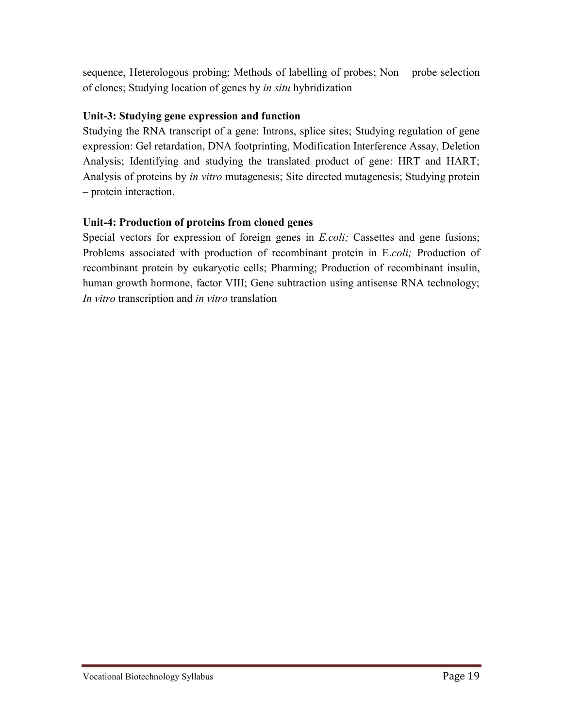sequence, Heterologous probing; Methods of labelling of probes; Non – probe selection of clones; Studying location of genes by *in situ* hybridization

# **Unit-3: Studying gene expression and function**

Studying the RNA transcript of a gene: Introns, splice sites; Studying regulation of gene expression: Gel retardation, DNA footprinting, Modification Interference Assay, Deletion Analysis; Identifying and studying the translated product of gene: HRT and HART; Analysis of proteins by *in vitro* mutagenesis; Site directed mutagenesis; Studying protein – protein interaction.

# **Unit-4: Production of proteins from cloned genes**

Special vectors for expression of foreign genes in *E.coli*; Cassettes and gene fusions; Problems associated with production of recombinant protein in E.*coli;* Production of recombinant protein by eukaryotic cells; Pharming; Production of recombinant insulin, human growth hormone, factor VIII; Gene subtraction using antisense RNA technology; *In vitro* transcription and *in vitro* translation